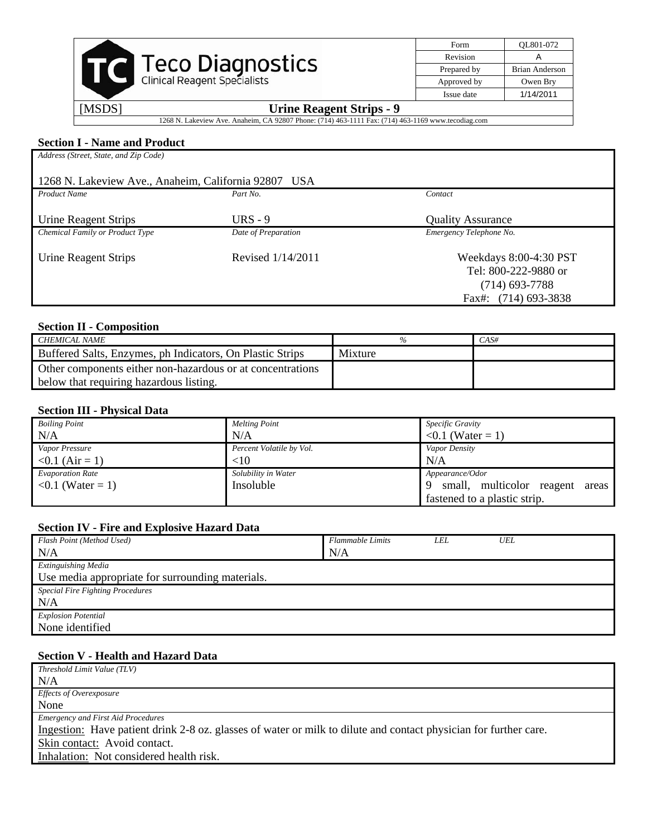|        |                                     | Form        | OL801-072             |
|--------|-------------------------------------|-------------|-----------------------|
|        |                                     | Revision    |                       |
|        | <b>Teco Diagnostics</b>             | Prepared by | <b>Brian Anderson</b> |
|        | <b>Clinical Reagent Specialists</b> | Approved by | Owen Bry              |
|        |                                     | Issue date  | 1/14/2011             |
| [MSDS] | <b>Urine Reagent Strips - 9</b>     |             |                       |

| <b>Section I - Name and Product</b>                  |                     |                          |  |  |  |
|------------------------------------------------------|---------------------|--------------------------|--|--|--|
| Address (Street, State, and Zip Code)                |                     |                          |  |  |  |
|                                                      |                     |                          |  |  |  |
| 1268 N. Lakeview Ave., Anaheim, California 92807 USA |                     |                          |  |  |  |
| <b>Product Name</b>                                  | Part No.            | Contact                  |  |  |  |
|                                                      |                     |                          |  |  |  |
| Urine Reagent Strips                                 | URS $-9$            | <b>Quality Assurance</b> |  |  |  |
| Chemical Family or Product Type                      | Date of Preparation | Emergency Telephone No.  |  |  |  |
|                                                      |                     |                          |  |  |  |
| Urine Reagent Strips                                 | Revised 1/14/2011   | Weekdays 8:00-4:30 PST   |  |  |  |
|                                                      |                     | Tel: 800-222-9880 or     |  |  |  |
|                                                      |                     | $(714)$ 693-7788         |  |  |  |
|                                                      |                     | Fax#: (714) 693-3838     |  |  |  |

1268 N. Lakeview Ave. Anaheim, CA 92807 Phone: (714) 463-1111 Fax: (714) 463-1169 www.tecodiag.com

# **Section II - Composition**

| CHEMICAL NAME                                              |         | $CAS\#$ |
|------------------------------------------------------------|---------|---------|
| Buffered Salts, Enzymes, ph Indicators, On Plastic Strips  | Mixture |         |
| Other components either non-hazardous or at concentrations |         |         |
| below that requiring hazardous listing.                    |         |         |

# **Section III - Physical Data**

| <b>Boiling Point</b>    | <b>Melting Point</b>     | Specific Gravity                   |  |
|-------------------------|--------------------------|------------------------------------|--|
| N/A                     | N/A                      | $0.1$ (Water = 1)                  |  |
| Vapor Pressure          | Percent Volatile by Vol. | Vapor Density                      |  |
| $< 0.1$ (Air = 1)       | $<$ 10                   | N/A                                |  |
| <b>Evaporation Rate</b> | Solubility in Water      | Appearance/Odor                    |  |
| $0.1$ (Water = 1)       | Insoluble                | small, multicolor reagent<br>areas |  |
|                         |                          | fastened to a plastic strip.       |  |

# **Section IV - Fire and Explosive Hazard Data**

| Flash Point (Method Used)                        | <b>Flammable Limits</b> | LEL | UEL |
|--------------------------------------------------|-------------------------|-----|-----|
| N/A                                              | N/A                     |     |     |
| <b>Extinguishing Media</b>                       |                         |     |     |
| Use media appropriate for surrounding materials. |                         |     |     |
| <b>Special Fire Fighting Procedures</b>          |                         |     |     |
| N/A                                              |                         |     |     |
| <b>Explosion Potential</b>                       |                         |     |     |
| None identified                                  |                         |     |     |

#### **Section V - Health and Hazard Data**

| Threshold Limit Value (TLV)                                                                                      |
|------------------------------------------------------------------------------------------------------------------|
| N/A                                                                                                              |
| <i>Effects of Overexposure</i>                                                                                   |
| None                                                                                                             |
| <b>Emergency and First Aid Procedures</b>                                                                        |
| Ingestion: Have patient drink 2-8 oz. glasses of water or milk to dilute and contact physician for further care. |
| Skin contact: Avoid contact.                                                                                     |
| Inhalation: Not considered health risk.                                                                          |